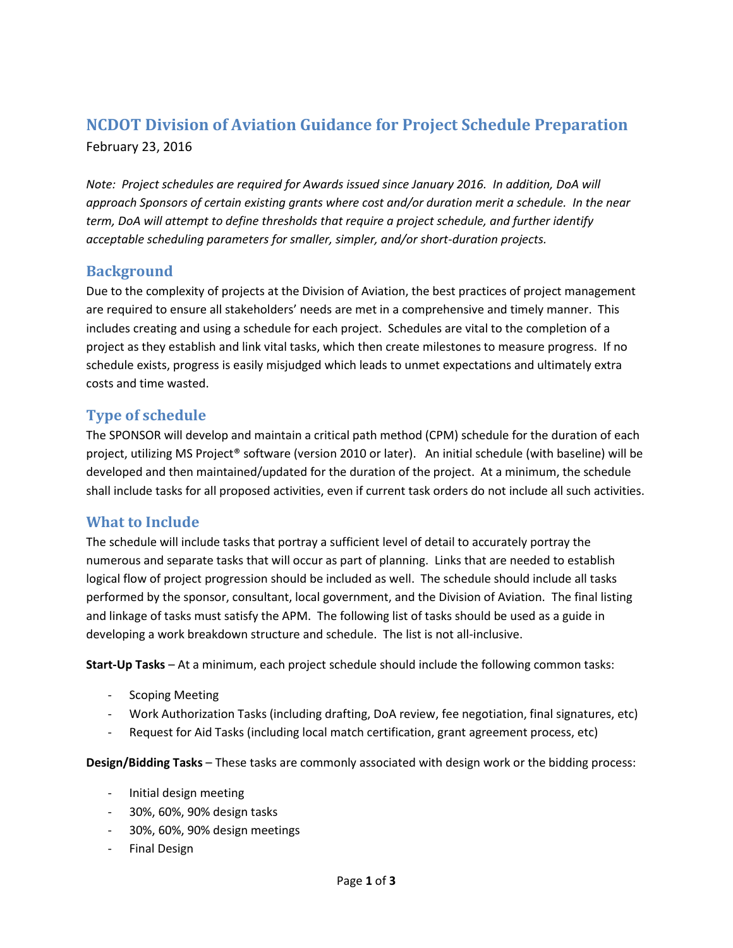# **NCDOT Division of Aviation Guidance for Project Schedule Preparation** February 23, 2016

*Note: Project schedules are required for Awards issued since January 2016. In addition, DoA will approach Sponsors of certain existing grants where cost and/or duration merit a schedule. In the near term, DoA will attempt to define thresholds that require a project schedule, and further identify acceptable scheduling parameters for smaller, simpler, and/or short-duration projects.*

## **Background**

Due to the complexity of projects at the Division of Aviation, the best practices of project management are required to ensure all stakeholders' needs are met in a comprehensive and timely manner. This includes creating and using a schedule for each project. Schedules are vital to the completion of a project as they establish and link vital tasks, which then create milestones to measure progress. If no schedule exists, progress is easily misjudged which leads to unmet expectations and ultimately extra costs and time wasted.

### **Type of schedule**

The SPONSOR will develop and maintain a critical path method (CPM) schedule for the duration of each project, utilizing MS Project® software (version 2010 or later). An initial schedule (with baseline) will be developed and then maintained/updated for the duration of the project. At a minimum, the schedule shall include tasks for all proposed activities, even if current task orders do not include all such activities.

#### **What to Include**

The schedule will include tasks that portray a sufficient level of detail to accurately portray the numerous and separate tasks that will occur as part of planning. Links that are needed to establish logical flow of project progression should be included as well. The schedule should include all tasks performed by the sponsor, consultant, local government, and the Division of Aviation. The final listing and linkage of tasks must satisfy the APM. The following list of tasks should be used as a guide in developing a work breakdown structure and schedule. The list is not all-inclusive.

**Start-Up Tasks** – At a minimum, each project schedule should include the following common tasks:

- Scoping Meeting
- Work Authorization Tasks (including drafting, DoA review, fee negotiation, final signatures, etc)
- Request for Aid Tasks (including local match certification, grant agreement process, etc)

**Design/Bidding Tasks** – These tasks are commonly associated with design work or the bidding process:

- Initial design meeting
- 30%, 60%, 90% design tasks
- 30%, 60%, 90% design meetings
- Final Design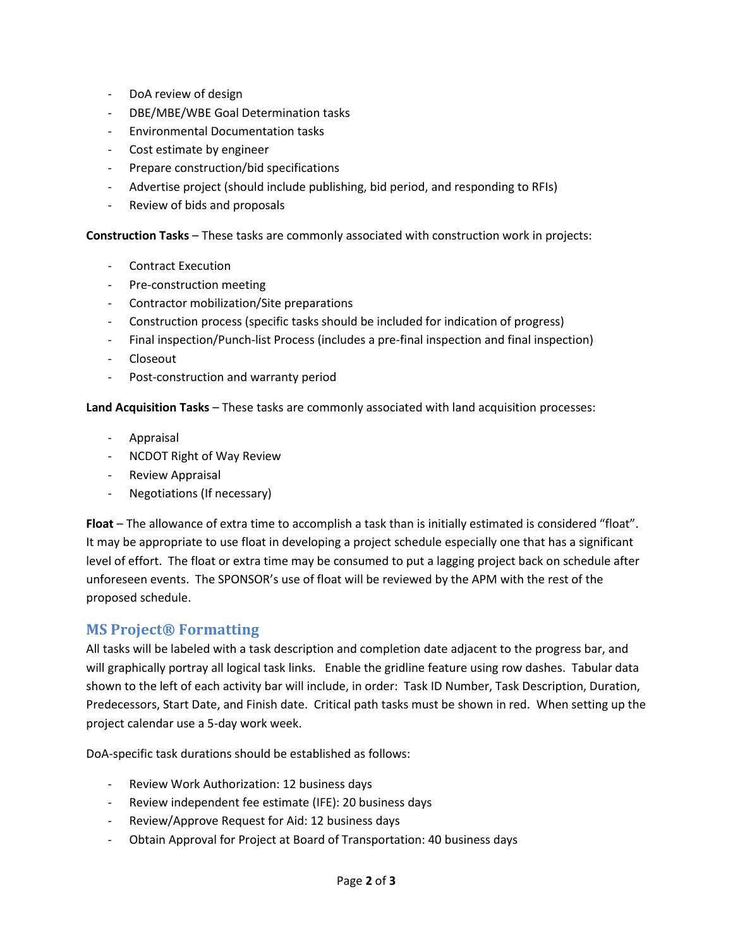- DoA review of design
- DBE/MBE/WBE Goal Determination tasks
- Environmental Documentation tasks
- Cost estimate by engineer
- Prepare construction/bid specifications
- Advertise project (should include publishing, bid period, and responding to RFIs)
- Review of bids and proposals

**Construction Tasks** – These tasks are commonly associated with construction work in projects:

- Contract Execution
- Pre-construction meeting
- Contractor mobilization/Site preparations
- Construction process (specific tasks should be included for indication of progress)
- Final inspection/Punch-list Process (includes a pre-final inspection and final inspection)
- Closeout
- Post-construction and warranty period

**Land Acquisition Tasks** – These tasks are commonly associated with land acquisition processes:

- Appraisal
- NCDOT Right of Way Review
- Review Appraisal
- Negotiations (If necessary)

**Float** – The allowance of extra time to accomplish a task than is initially estimated is considered "float". It may be appropriate to use float in developing a project schedule especially one that has a significant level of effort. The float or extra time may be consumed to put a lagging project back on schedule after unforeseen events. The SPONSOR's use of float will be reviewed by the APM with the rest of the proposed schedule.

#### **MS Project® Formatting**

All tasks will be labeled with a task description and completion date adjacent to the progress bar, and will graphically portray all logical task links. Enable the gridline feature using row dashes. Tabular data shown to the left of each activity bar will include, in order: Task ID Number, Task Description, Duration, Predecessors, Start Date, and Finish date. Critical path tasks must be shown in red. When setting up the project calendar use a 5-day work week.

DoA-specific task durations should be established as follows:

- Review Work Authorization: 12 business days
- Review independent fee estimate (IFE): 20 business days
- Review/Approve Request for Aid: 12 business days
- Obtain Approval for Project at Board of Transportation: 40 business days